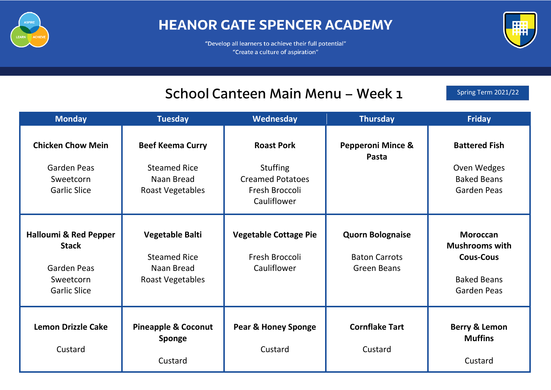

## **HEANOR GATE SPENCER ACADEMY**

"Develop all learners to achieve their full potential" "Create a culture of aspiration"



#### School Canteen Main Menu - Week 1

Spring Term 2021/22

| <b>Monday</b>                                                                                       | <b>Tuesday</b>                                                                          | Wednesday                                                                                        | <b>Thursday</b>                                                | <b>Friday</b>                                                                                            |
|-----------------------------------------------------------------------------------------------------|-----------------------------------------------------------------------------------------|--------------------------------------------------------------------------------------------------|----------------------------------------------------------------|----------------------------------------------------------------------------------------------------------|
| <b>Chicken Chow Mein</b><br>Garden Peas<br>Sweetcorn<br><b>Garlic Slice</b>                         | <b>Beef Keema Curry</b><br><b>Steamed Rice</b><br>Naan Bread<br><b>Roast Vegetables</b> | <b>Roast Pork</b><br><b>Stuffing</b><br><b>Creamed Potatoes</b><br>Fresh Broccoli<br>Cauliflower | <b>Pepperoni Mince &amp;</b><br>Pasta                          | <b>Battered Fish</b><br>Oven Wedges<br><b>Baked Beans</b><br><b>Garden Peas</b>                          |
| <b>Halloumi &amp; Red Pepper</b><br><b>Stack</b><br>Garden Peas<br>Sweetcorn<br><b>Garlic Slice</b> | <b>Vegetable Balti</b><br><b>Steamed Rice</b><br>Naan Bread<br><b>Roast Vegetables</b>  | <b>Vegetable Cottage Pie</b><br>Fresh Broccoli<br>Cauliflower                                    | <b>Quorn Bolognaise</b><br><b>Baton Carrots</b><br>Green Beans | <b>Moroccan</b><br><b>Mushrooms with</b><br><b>Cous-Cous</b><br><b>Baked Beans</b><br><b>Garden Peas</b> |
| <b>Lemon Drizzle Cake</b><br>Custard                                                                | <b>Pineapple &amp; Coconut</b><br><b>Sponge</b><br>Custard                              | <b>Pear &amp; Honey Sponge</b><br>Custard                                                        | <b>Cornflake Tart</b><br>Custard                               | <b>Berry &amp; Lemon</b><br><b>Muffins</b><br>Custard                                                    |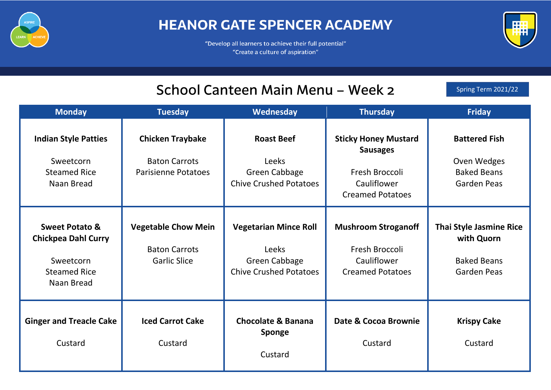

## **HEANOR GATE SPENCER ACADEMY**

"Develop all learners to achieve their full potential" "Create a culture of aspiration"



# School Canteen Main Menu - Week 2

Spring Term 2021/22

| <b>Monday</b>                                                                                             | <b>Tuesday</b>                                                                | Wednesday                                                                                             | <b>Thursday</b>                                                                                            | <b>Friday</b>                                                                            |
|-----------------------------------------------------------------------------------------------------------|-------------------------------------------------------------------------------|-------------------------------------------------------------------------------------------------------|------------------------------------------------------------------------------------------------------------|------------------------------------------------------------------------------------------|
| <b>Indian Style Patties</b><br>Sweetcorn<br><b>Steamed Rice</b><br>Naan Bread                             | <b>Chicken Traybake</b><br><b>Baton Carrots</b><br><b>Parisienne Potatoes</b> | <b>Roast Beef</b><br>Leeks<br><b>Green Cabbage</b><br><b>Chive Crushed Potatoes</b>                   | <b>Sticky Honey Mustard</b><br><b>Sausages</b><br>Fresh Broccoli<br>Cauliflower<br><b>Creamed Potatoes</b> | <b>Battered Fish</b><br>Oven Wedges<br><b>Baked Beans</b><br><b>Garden Peas</b>          |
| <b>Sweet Potato &amp;</b><br><b>Chickpea Dahl Curry</b><br>Sweetcorn<br><b>Steamed Rice</b><br>Naan Bread | <b>Vegetable Chow Mein</b><br><b>Baton Carrots</b><br><b>Garlic Slice</b>     | <b>Vegetarian Mince Roll</b><br><b>Leeks</b><br><b>Green Cabbage</b><br><b>Chive Crushed Potatoes</b> | <b>Mushroom Stroganoff</b><br>Fresh Broccoli<br>Cauliflower<br><b>Creamed Potatoes</b>                     | <b>Thai Style Jasmine Rice</b><br>with Quorn<br><b>Baked Beans</b><br><b>Garden Peas</b> |
| <b>Ginger and Treacle Cake</b><br>Custard                                                                 | <b>Iced Carrot Cake</b><br>Custard                                            | <b>Chocolate &amp; Banana</b><br>Sponge<br>Custard                                                    | Date & Cocoa Brownie<br>Custard                                                                            | <b>Krispy Cake</b><br>Custard                                                            |